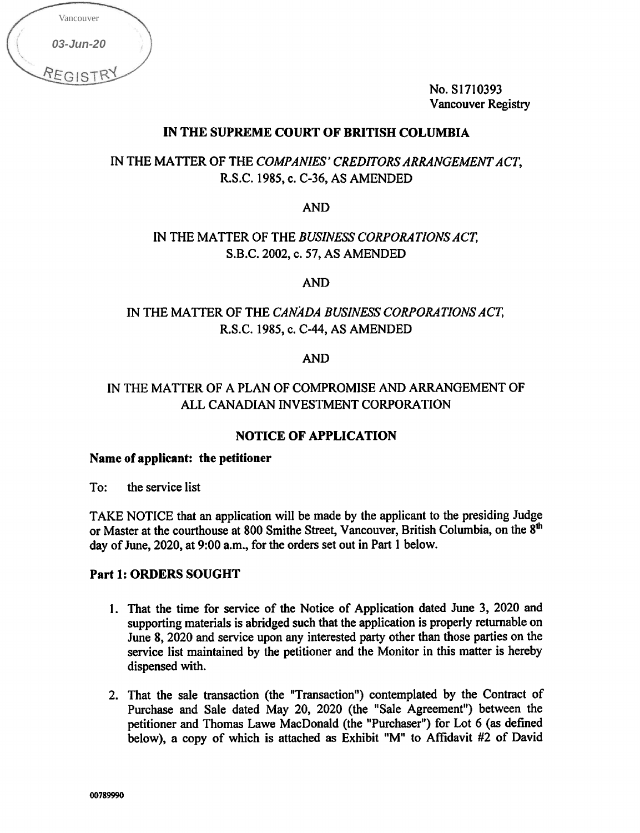| Vancouver |          |                                 |
|-----------|----------|---------------------------------|
| 03-Jun-20 |          |                                 |
| REGISTRY  |          |                                 |
|           |          |                                 |
|           |          |                                 |
|           |          | IN THE                          |
|           |          |                                 |
|           |          |                                 |
|           |          |                                 |
|           |          |                                 |
|           |          |                                 |
|           |          |                                 |
|           |          | INT                             |
|           |          |                                 |
|           |          |                                 |
|           |          | IN THE I                        |
|           |          |                                 |
|           |          | Name of app                     |
|           |          |                                 |
|           |          | To: the se                      |
|           |          | <b>TAKE NOT</b><br>or Master at |
|           |          | day of June,                    |
|           |          | Part 1: ORI                     |
|           |          |                                 |
|           | 1.       | That<br>suppo                   |
|           |          | June<br>servi                   |
|           |          | dispe                           |
|           |          | 2. That                         |
|           |          | Purcl<br>petiti                 |
|           |          | belov                           |
|           |          |                                 |
|           | 00789990 |                                 |

No. S1710393 Vancouver Registry

## IN THE SUPREME COURT OF BRITISH COLUMBIA

IN THE MATTER OF THE COMPANIES' CREDITORS ARRANGEMENT ACT, R.S.C. 1985, c. C-36, AS AMENDED

AND

# IN THE MATTER OF THE BUSINESS CORPORATIONS ACT, S.B.C. 2002, c. 57, AS AMENDED

AND

# IN THE MATTER OF THE CANADA BUSINESS CORPORATIONS ACT, R.S.C. 1985, c. C-44, AS AMENDED

#### AND

# IN THE MATTER OF A PLAN OF COMPROMISE AND ARRANGEMENT OF ALL CANADIAN INVESTMENT CORPORATION

## NOTICE OF APPLICATION

#### Name of applicant: the petitioner

To: the service list

TAKE NOTICE that an application will be made by the applicant to the presiding Judge or Master at the courthouse at 800 Smithe Street, Vancouver, British Columbia, on the 8<sup>th</sup> day of June, 2020, at 9:00 a.m., for the orders set out in Part 1 below.

#### Part 1: ORDERS SOUGHT

- 1. That the time for service of the Notice of Application dated June 3, 2020 and supporting materials is abridged such that the application is properly returnable on June 8, 2020 and service upon any interested party other than those parties on the service list maintained by the petitioner and the Monitor in this matter is hereby dispensed with.
- 2. That the sale transaction (the "Transaction") contemplated by the Contract of Purchase and Sale dated May 20, 2020 (the "Sale Agreement") between the petitioner and Thomas Lawe MacDonald (the "Purchaser") for Lot 6 (as defined below), a copy of which is attached as Exhibit "M" to Affidavit #2 of David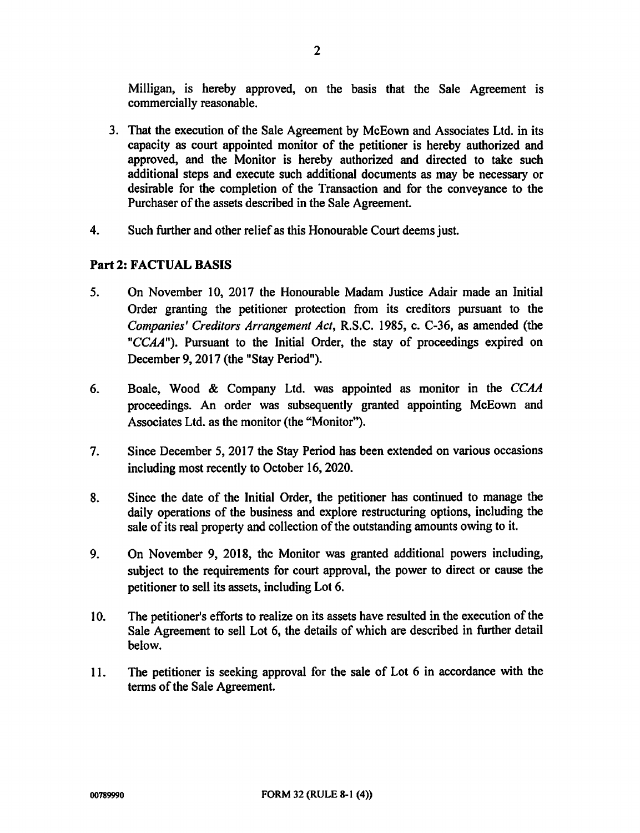Milligan, is hereby approved, on the basis that the Sale Agreement is commercially reasonable.

- 3. That the execution of the Sale Agreement by McEown and Associates Ltd. in its capacity as court appointed monitor of the petitioner is hereby authorized and approved, and the Monitor is hereby authorized and directed to take such additional steps and execute such additional documents as may be necessary or desirable for the completion of the Transaction and for the conveyance to the Purchaser of the assets described in the Sale Agreement.
- 4. Such further and other relief as this Honourable Court deems just.

## Part 2: FACTUAL BASIS

- 5. On November 10, 2017 the Honourable Madam Justice Adair made an Initial Order granting the petitioner protection from its creditors pursuant to the Companies' Creditors Arrangement Act, R.S.C. 1985, c. C-36, as amended (the "CCAA"). Pursuant to the Initial Order, the stay of proceedings expired on December 9, 2017 (the "Stay Period").
- 6. Boale, Wood & Company Ltd. was appointed as monitor in the CCAA proceedings. An order was subsequently granted appointing McEown and Associates Ltd. as the monitor (the "Monitor").
- 7. Since December 5, 2017 the Stay Period has been extended on various occasions including most recently to October 16, 2020.
- 8. Since the date of the Initial Order, the petitioner has continued to manage the daily operations of the business and explore restructuring options, including the sale of its real property and collection of the outstanding amounts owing to it.
- 9. On November 9, 2018, the Monitor was granted additional powers including, subject to the requirements for court approval, the power to direct or cause the petitioner to sell its assets, including Lot 6.
- 10. The petitioner's efforts to realize on its assets have resulted in the execution of the Sale Agreement to sell Lot 6, the details of which are described in further detail below.
- 11. The petitioner is seeking approval for the sale of Lot 6 in accordance with the terms of the Sale Agreement.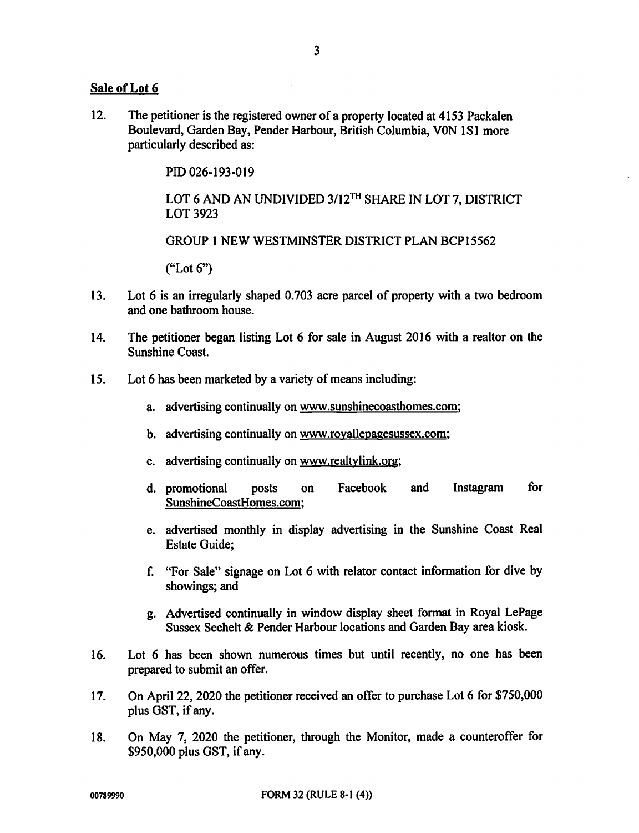#### Sale of Lot 6

12. The petitioner is the registered owner of a property located at 4153 Packalen Boulevard, Garden Bay, Pender Harbour, British Columbia, VON 1S1 more particularly described as:

PID 026-193-019

LOT 6 AND AN UNDIVIDED 3/12<sup>TH</sup> SHARE IN LOT 7, DISTRICT LOT 3923

GROUP 1 NEW WESTMINSTER DISTRICT PLAN BCP15562

("Lot 6")

- 13. Lot 6 is an irregularly shaped 0.703 acre parcel of property with a two bedroom and one bathroom house.
- 14. The petitioner began listing Lot 6 for sale in August 2016 with a realtor on the Sunshine Coast.
- 15. Lot 6 has been marketed by a variety of means including:
	- a. advertising continually on www.sunshinecoasthomes.com;
	- b. advertising continually on www.royallepagesussex.com;
	- c. advertising continually on www.realtvlink.org;
	- d. promotional posts on Facebook and Instagram for SunshineCoastHomes.com;
	- e. advertised monthly in display advertising in the Sunshine Coast Real Estate Guide;
	- f. "For Sale" signage on Lot 6 with relator contact information for dive by showings; and
	- Advertised continually in window display sheet format in Royal LePage g. Sussex Sechelt & Pender Harbour locations and Garden Bay area kiosk.
- 16. Lot 6 has been shown numerous times but until recently, no one has been prepared to submit an offer.
- 17. On April 22, 2020 the petitioner received an offer to purchase Lot 6 for \$750,000 plus GST, if any.
- 18. On May 7, 2020 the petitioner, through the Monitor, made a counteroffer for \$950,000 plus GST, if any.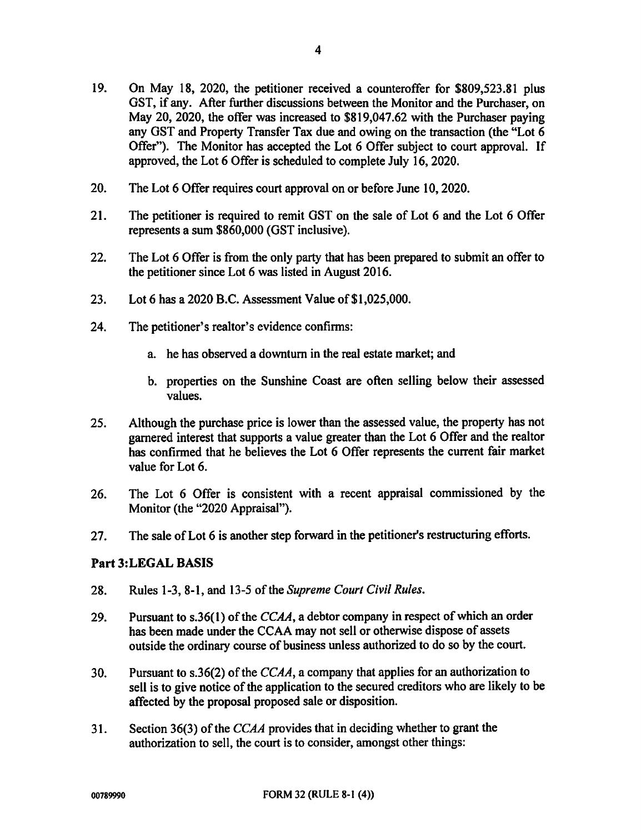- 19. On May 18, 2020, the petitioner received a counteroffer for \$809,523.81 plus GST, if any. After further discussions between the Monitor and the Purchaser, on May 20, 2020, the offer was increased to \$819,047.62 with the Purchaser paying any GST and Property Transfer Tax due and owing on the transaction (the "Lot 6 Offer"). The Monitor has accepted the Lot 6 Offer subject to court approval. If approved, the Lot 6 Offer is scheduled to complete July 16, 2020.
- 20. The Lot 6 Offer requires court approval on or before June 10, 2020.
- 21. The petitioner is required to remit GST on the sale of Lot 6 and the Lot 6 Offer represents a sum \$860,000 (GST inclusive).
- 22. The Lot 6 Offer is from the only party that has been prepared to submit an offer to the petitioner since Lot 6 was listed in August 2016.
- 23. Lot 6 has a 2020 B.C. Assessment Value of \$1,025,000.
- 24. The petitioner's realtor's evidence confirms:
	- a. he has observed a downturn in the real estate market; and
	- b. properties on the Sunshine Coast are often selling below their assessed values.
- 25. Although the purchase price is lower than the assessed value, the property has not garnered interest that supports a value greater than the Lot 6 Offer and the realtor has confirmed that he believes the Lot 6 Offer represents the current fair market value for Lot 6.
- 26. The Lot 6 Offer is consistent with a recent appraisal commissioned by the Monitor (the "2020 Appraisal").
- 27. The sale of Lot 6 is another step forward in the petitioner's restructuring efforts.

#### Part 3:LEGAL BASIS

- 28. Rules 1-3, 8-1, and 13-5 of the Supreme Court Civil Rules.
- 29. Pursuant to s.36(1) of the  $CCAA$ , a debtor company in respect of which an order has been made under the CCAA may not sell or otherwise dispose of assets outside the ordinary course of business unless authorized to do so by the court.
- 30. Pursuant to s.36(2) of the  $CCAA$ , a company that applies for an authorization to sell is to give notice of the application to the secured creditors who are likely to be affected by the proposal proposed sale or disposition.
- 31. Section 36(3) of the CCAA provides that in deciding whether to grant the authorization to sell, the court is to consider, amongst other things: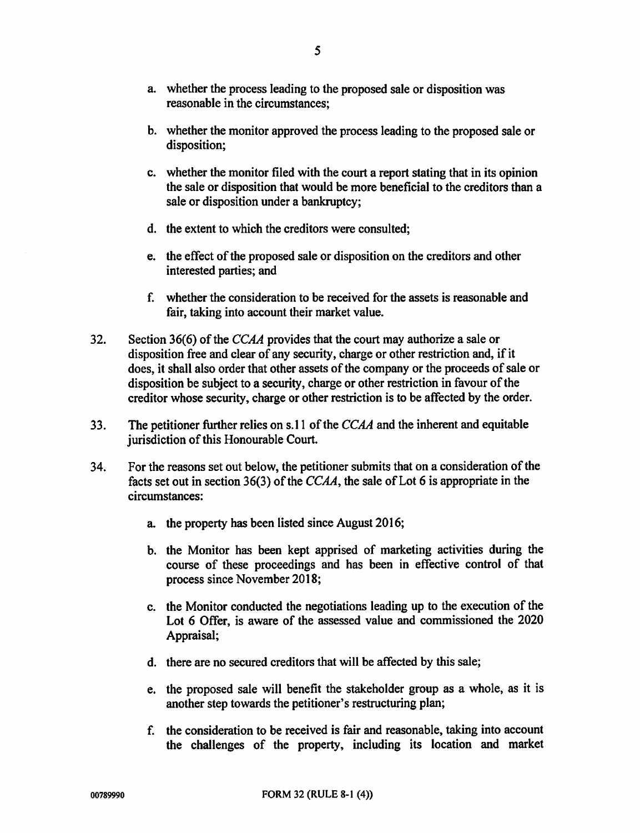- b. whether the monitor approved the process leading to the proposed sale or disposition;
- c. whether the monitor filed with the court a report stating that in its opinion the sale or disposition that would be more beneficial to the creditors than a sale or disposition under a bankruptcy;
- d. the extent to which the creditors were consulted;
- e. the effect of the proposed sale or disposition on the creditors and other interested parties; and
- f. whether the consideration to be received for the assets is reasonable and fair, taking into account their market value.
- 32. Section 36(6) of the CCAA provides that the court may authorize a sale or disposition free and clear of any security, charge or other restriction and, if it does, it shall also order that other assets of the company or the proceeds of sale or disposition be subject to a security, charge or other restriction in favour of the creditor whose security, charge or other restriction is to be affected by the order.
- 33. The petitioner further relies on s.11 of the  $CCAA$  and the inherent and equitable jurisdiction of this Honourable Court.
- 34. For the reasons set out below, the petitioner submits that on a consideration of the facts set out in section 36(3) of the CCAA, the sale of Lot 6 is appropriate in the circumstances:
	- a. the property has been listed since August 2016;
	- b. the Monitor has been kept apprised of marketing activities during the course of these proceedings and has been in effective control of that process since November 2018;
	- c. the Monitor conducted the negotiations leading up to the execution of the Lot 6 Offer, is aware of the assessed value and commissioned the 2020 Appraisal;
	- d. there are no secured creditors that will be affected by this sale;
	- e. the proposed sale will benefit the stakeholder group as a whole, as it is another step towards the petitioner's restructuring plan;
	- f. the consideration to be received is fair and reasonable, taking into account the challenges of the property, including its location and market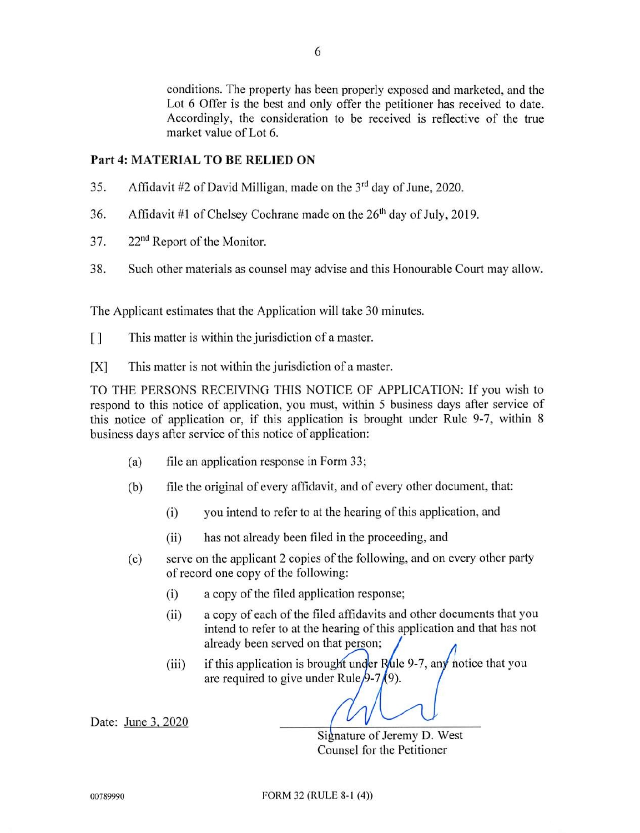conditions. The property has been properly exposed and marketed, and the Lot 6 Offer is the best and only offer the petitioner has received to date. Accordingly, the consideration to be received is reflective of the true market value of Lot 6.

#### Part 4: MATERIAL TO BE RELIED ON

- 35. Affidavit #2 of David Milligan, made on the 3rd day of June, 2020.
- 36. Affidavit #1 of Chelsey Cochrane made on the  $26<sup>th</sup>$  day of July, 2019.
- 37. 22<sup>nd</sup> Report of the Monitor.
- 38. Such other materials as counsel may advise and this Honourable Court may allow.

6

The Applicant estimates that the Application will take 30 minutes.

- [] This matter is within the jurisdiction of a master.
- [X] This matter is not within the jurisdiction of a master.

TO THE PERSONS RECEIVING THIS NOTICE OF APPLICATION: If you wish to respond to this notice of application, you must, within 5 business days after service of this notice of application or, if this application is brought under Rule 9-7, within 8 business days after service of this notice of application:

- (a) file an application response in Form 33;
- (b) file the original of every affidavit, and of every other document. that:
	- (i) you intend to refer to at the hearing of this application, and
	- (ii) has not already been filed in the proceeding, and
- (c) serve on the applicant 2 copies of the following, and on every other party of record one copy of the following:
	- (i) a copy of the filed application response;
	- (ii) a copy of each of the filed affidavits and other documents that you intend to refer to at the hearing of this application and that has not already been served on that person;
	- (iii) if this application is brought under Rule 9-7, any notice that you are required to give under Rule  $/9$ -7 $/$ 9).

Date: June 3, 2020

Signature of Jeremy D. West Counsel for the Petitioner